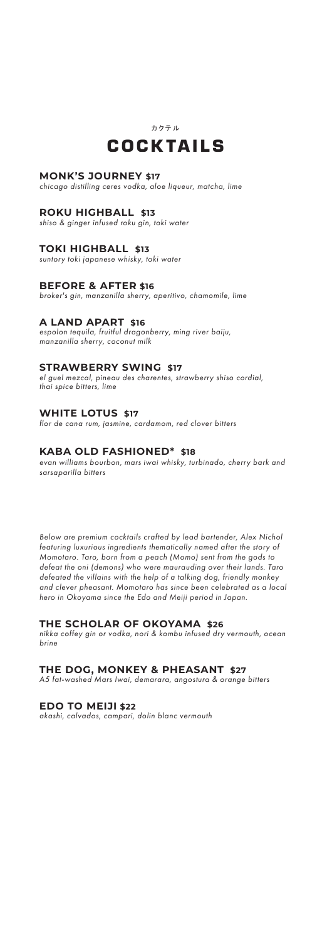

## **MONK'S JOURNEY \$17**

*chicago distilling ceres vodka, aloe liqueur, matcha, lime*

#### **ROKU HIGHBALL \$13**

*shiso & ginger infused roku gin, toki water*

#### **TOKI HIGHBALL \$13**

*suntory toki japanese whisky, toki water*

#### **BEFORE & AFTER \$16**

*broker's gin, manzanilla sherry, aperitivo, chamomile, lime*

#### **A LAND APART \$16**

*espolon tequila, fruitful dragonberry, ming river baiju, manzanilla sherry, coconut milk*

#### **STRAWBERRY SWING \$17**

*el guel mezcal, pineau des charentes, strawberry shiso cordial, thai spice bitters, lime*

#### **WHITE LOTUS \$17**

*flor de cana rum, jasmine, cardamom, red clover bitters*

#### **KABA OLD FASHIONED\* \$18**

*evan williams bourbon, mars iwai whisky, turbinado, cherry bark and sarsaparilla bitters*

*Below are premium cocktails crafted by lead bartender, Alex Nichol featuring luxurious ingredients thematically named after the story of Momotaro. Taro, born from a peach (Momo) sent from the gods to defeat the oni (demons) who were maurauding over their lands. Taro defeated the villains with the help of a talking dog, friendly monkey and clever pheasant. Momotaro has since been celebrated as a local hero in Okoyama since the Edo and Meiji period in Japan.*

#### **THE SCHOLAR OF OKOYAMA \$26**

*nikka coffey gin or vodka, nori & kombu infused dry vermouth, ocean brine*

## **THE DOG, MONKEY & PHEASANT \$27**

*A5 fat-washed Mars Iwai, demarara, angostura & orange bitters*

#### **EDO TO MEIJI \$22**

*akashi, calvados, campari, dolin blanc vermouth*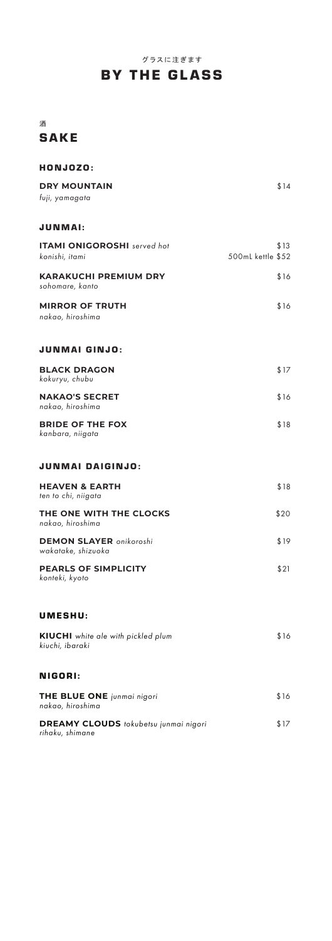# グラスに注ぎます BY THE GLASS

## 酒 **SAKE**

| \$14<br><b>DRY MOUNTAIN</b><br>fuji, yamagata<br><b>JUNMAI:</b><br><b>ITAMI ONIGOROSHI</b> served hot<br>\$13<br>500mL kettle \$52<br>konishi, itami<br><b>KARAKUCHI PREMIUM DRY</b><br>\$16<br>sohomare, kanto<br><b>MIRROR OF TRUTH</b><br>\$16<br>nakao, hiroshima<br>JUNMAI GINJO:<br><b>BLACK DRAGON</b><br>\$17<br>kokuryu, chubu<br><b>NAKAO'S SECRET</b><br>\$16<br>nakao, hiroshima<br><b>BRIDE OF THE FOX</b><br>\$18<br>kanbara, niigata<br><b>JUNMAI DAIGINJO:</b><br><b>HEAVEN &amp; EARTH</b><br>\$18<br>ten to chi, niigata |
|--------------------------------------------------------------------------------------------------------------------------------------------------------------------------------------------------------------------------------------------------------------------------------------------------------------------------------------------------------------------------------------------------------------------------------------------------------------------------------------------------------------------------------------------|
|                                                                                                                                                                                                                                                                                                                                                                                                                                                                                                                                            |
|                                                                                                                                                                                                                                                                                                                                                                                                                                                                                                                                            |
|                                                                                                                                                                                                                                                                                                                                                                                                                                                                                                                                            |
|                                                                                                                                                                                                                                                                                                                                                                                                                                                                                                                                            |
|                                                                                                                                                                                                                                                                                                                                                                                                                                                                                                                                            |
|                                                                                                                                                                                                                                                                                                                                                                                                                                                                                                                                            |
|                                                                                                                                                                                                                                                                                                                                                                                                                                                                                                                                            |
|                                                                                                                                                                                                                                                                                                                                                                                                                                                                                                                                            |
|                                                                                                                                                                                                                                                                                                                                                                                                                                                                                                                                            |
|                                                                                                                                                                                                                                                                                                                                                                                                                                                                                                                                            |
|                                                                                                                                                                                                                                                                                                                                                                                                                                                                                                                                            |
| THE ONE WITH THE CLOCKS<br>\$20<br>nakao, hiroshima                                                                                                                                                                                                                                                                                                                                                                                                                                                                                        |
| <b>DEMON SLAYER</b> onikoroshi<br>\$19<br>wakatake, shizuoka                                                                                                                                                                                                                                                                                                                                                                                                                                                                               |
| <b>PEARLS OF SIMPLICITY</b><br>\$21<br>konteki, kyoto                                                                                                                                                                                                                                                                                                                                                                                                                                                                                      |
| <b>UMESHU:</b>                                                                                                                                                                                                                                                                                                                                                                                                                                                                                                                             |
| KIUCHI white ale with pickled plum<br>\$16<br>kiuchi, ibaraki                                                                                                                                                                                                                                                                                                                                                                                                                                                                              |
| NIGORI:                                                                                                                                                                                                                                                                                                                                                                                                                                                                                                                                    |
| \$16<br>THE BLUE ONE junmai nigori<br>nakao, hiroshima                                                                                                                                                                                                                                                                                                                                                                                                                                                                                     |
| DREAMY CLOUDS tokubetsu junmai nigori<br>\$17<br>rihaku, shimane                                                                                                                                                                                                                                                                                                                                                                                                                                                                           |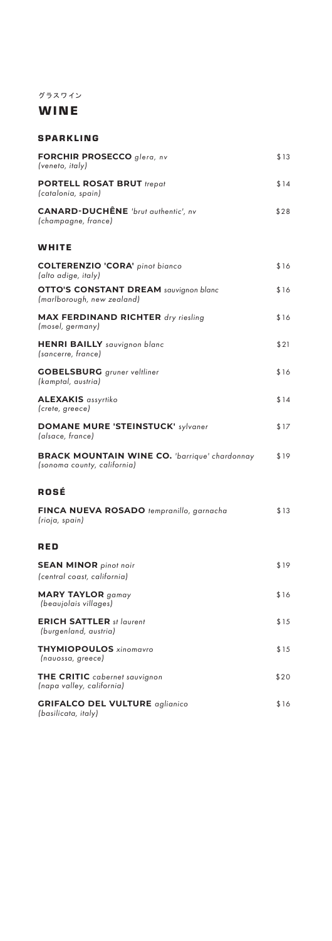# グラスワイン

# WINE

## SPARKLING

| FORCHIR PROSECCO glera, nv<br>(veneto, italy)                                       | \$13 |
|-------------------------------------------------------------------------------------|------|
| <b>PORTELL ROSAT BRUT trepat</b><br>(catalonia, spain)                              | \$14 |
| <b>CANARD-DUCHÊNE</b> 'brut authentic', nv<br>(champagne, france)                   | \$28 |
| WHITE                                                                               |      |
| <b>COLTERENZIO 'CORA'</b> pinot bianco<br>(alto adige, italy)                       | \$16 |
| <b>OTTO'S CONSTANT DREAM sauvignon blanc</b><br>(marlborough, new zealand)          | \$16 |
| <b>MAX FERDINAND RICHTER</b> dry riesling<br>(mosel, germany)                       | \$16 |
| HENRI BAILLY sauvignon blanc<br>(sancerre, france)                                  | \$21 |
| <b>GOBELSBURG</b> gruner veltliner<br>(kamptal, austria)                            | \$16 |
| <b>ALEXAKIS</b> assyrtiko<br>(crete, greece)                                        | \$14 |
| <b>DOMANE MURE 'STEINSTUCK' sylvaner</b><br>(alsace, france)                        | \$17 |
| <b>BRACK MOUNTAIN WINE CO.</b> 'barrique' chardonnay<br>(sonoma county, california) | \$19 |
| ROSÉ                                                                                |      |
| FINCA NUEVA ROSADO tempranillo, garnacha<br>(rioja, spain)                          | \$13 |
| RED                                                                                 |      |
| <b>SEAN MINOR</b> pinot noir<br>(central coast, california)                         | \$19 |
| <b>MARY TAYLOR</b> gamay<br>(beaujolais villages)                                   | \$16 |
| <b>ERICH SATTLER</b> st laurent<br>(burgenland, austria)                            | \$15 |
| <b>THYMIOPOULOS</b> xinomavro<br>(nauossa, greece)                                  | \$15 |
| THE CRITIC cabernet sauvignon<br>(napa valley, california)                          | \$20 |
| <b>GRIFALCO DEL VULTURE</b> aglianico<br>(basilicata, italy)                        | \$16 |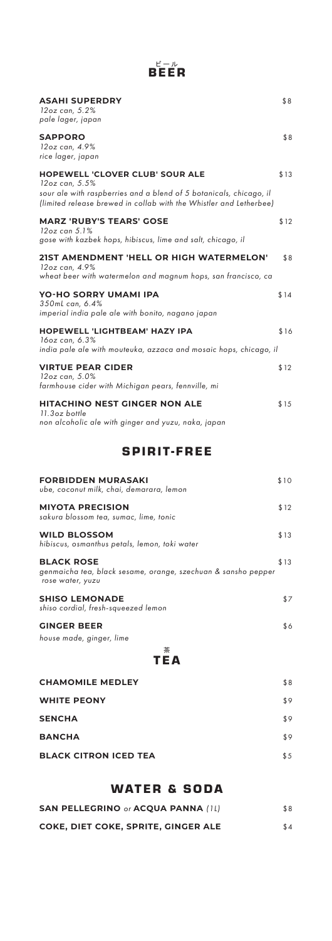# ピール<br>BEER

| <b>ASAHI SUPERDRY</b><br>12oz can, 5.2%<br>pale lager, japan                                                                                                                                         | \$8  |
|------------------------------------------------------------------------------------------------------------------------------------------------------------------------------------------------------|------|
| <b>SAPPORO</b><br>12oz can, 4.9%<br>rice lager, japan                                                                                                                                                | \$8  |
| <b>HOPEWELL 'CLOVER CLUB' SOUR ALE</b><br>12oz can, 5.5%<br>sour ale with raspberries and a blend of 5 botanicals, chicago, il<br>(limited release brewed in collab with the Whistler and Letherbee) | \$13 |
| <b>MARZ 'RUBY'S TEARS' GOSE</b><br>$12$ oz can $5.1\%$<br>gose with kazbek hops, hibiscus, lime and salt, chicago, il                                                                                | \$12 |
| 21ST AMENDMENT 'HELL OR HIGH WATERMELON'<br>12oz can, 4.9%<br>wheat beer with watermelon and magnum hops, san francisco, ca                                                                          | \$8  |
| <b>YO-HO SORRY UMAMI IPA</b><br>350mL can, 6.4%<br>imperial india pale ale with bonito, nagano japan                                                                                                 | \$14 |
| <b>HOPEWELL 'LIGHTBEAM' HAZY IPA</b><br>16oz can, 6.3%<br>india pale ale with mouteuka, azzaca and mosaic hops, chicago, il                                                                          | \$16 |
| <b>VIRTUE PEAR CIDER</b><br>12oz can, 5.0%<br>farmhouse cider with Michigan pears, fennville, mi                                                                                                     | \$12 |
| <b>HITACHINO NEST GINGER NON ALE</b><br>11.3oz bottle<br>non alcoholic ale with ginger and yuzu, naka, japan                                                                                         | \$15 |

# SPIRIT-FREE

| <b>FORBIDDEN MURASAKI</b><br>ube, coconut milk, chai, demarara, lemon                                  | \$10 |
|--------------------------------------------------------------------------------------------------------|------|
| <b>MIYOTA PRECISION</b><br>sakura blossom tea, sumac, lime, tonic                                      | \$12 |
| <b>WILD BLOSSOM</b><br>hibiscus, osmanthus petals, lemon, toki water                                   | \$13 |
| <b>BLACK ROSE</b><br>genmaicha tea, black sesame, orange, szechuan & sansho pepper<br>rose water, yuzu | \$13 |
| <b>SHISO LEMONADE</b><br>shiso cordial, fresh-squeezed lemon                                           | \$7  |
| <b>GINGER BEER</b><br>house made, ginger, lime                                                         | \$6  |

茶 T E A

| <b>CHAMOMILE MEDLEY</b>      | \$8 |
|------------------------------|-----|
| <b>WHITE PEONY</b>           | \$9 |
| <b>SENCHA</b>                | \$9 |
| <b>BANCHA</b>                | \$9 |
| <b>BLACK CITRON ICED TEA</b> | \$5 |

# WATER & SODA

| <b>SAN PELLEGRINO or ACQUA PANNA (1L)</b> | \$8 |
|-------------------------------------------|-----|
| COKE, DIET COKE, SPRITE, GINGER ALE       | \$4 |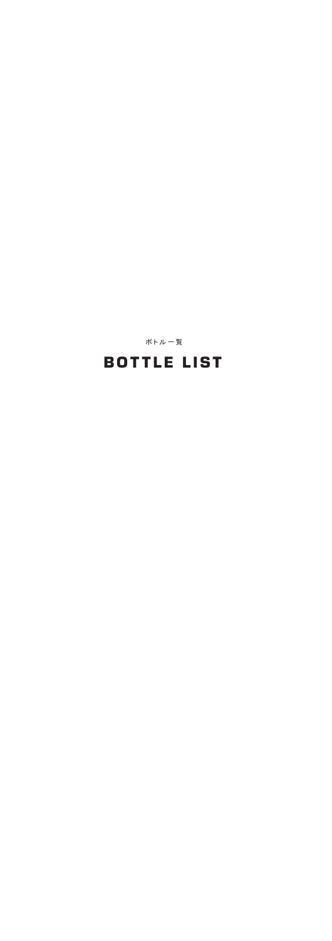# **BOTTLE LIST**

ボトル一覧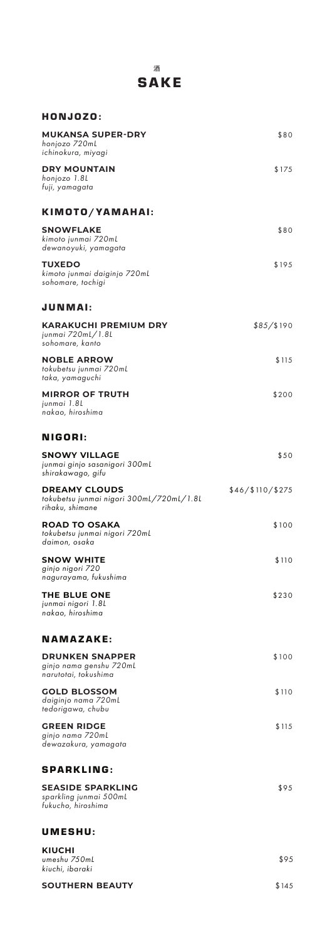| <b>SAKE</b>                                                                            |                  |
|----------------------------------------------------------------------------------------|------------------|
| HONJOZO:                                                                               |                  |
| MUKANSA SUPER-DRY<br>honjozo 720mL<br>ichinokura, miyagi                               | \$80             |
| <b>DRY MOUNTAIN</b><br>honjozo 1.8L<br>fuji, yamagata                                  | \$175            |
| KIMOTO/YAMAHAI:                                                                        |                  |
| SNOWFLAKE<br>kimoto junmai 720mL<br>dewanoyuki, yamagata                               | \$80             |
| <b>TUXEDO</b><br>kimoto junmai daiginjo 720mL<br>sohomare, tochigi                     | \$195            |
| <b>JUNMAI:</b>                                                                         |                  |
| <b>KARAKUCHI PREMIUM DRY</b><br>junmai 720mL/1.8L<br>sohomare, kanto                   | \$85/\$190       |
| <b>NOBLE ARROW</b><br>tokubetsu junmai 720mL<br>taka, yamaguchi                        | \$115            |
| <b>MIRROR OF TRUTH</b><br>junmai 1.8L<br>nakao, hiroshima                              | \$200            |
| NIGORI:                                                                                |                  |
| SNOWY VILLAGE<br>junmai ginjo sasanigori 300m <mark>L</mark><br>.<br>shirakawago, gifu | \$50             |
| <b>DREAMY CLOUDS</b><br>tokubetsu junmai nigori 300mL/720mL/1.8L<br>rihaku, shimane    | \$46/\$110/\$275 |
| <b>ROAD TO OSAKA</b><br>tokubetsu junmai nigori 720mL<br>daimon, osaka                 | \$100            |
| <b>SNOW WHITE</b><br>ginjo nigori 720<br>nagurayama, fukushima                         | \$110            |
| <b>THE BLUE ONE</b><br>junmai nigori 1.8L<br>nakao, hiroshima                          | \$230            |
| NAMAZAKE:                                                                              |                  |
| <b>DRUNKEN SNAPPER</b><br>ginjo nama genshu 720mL<br>narutotai, tokushima              | \$100            |
| <b>GOLD BLOSSOM</b><br>daiginjo nama 720mL<br>tedorigawa, chubu                        | \$110            |
| <b>GREEN RIDGE</b><br>ginjo nama 720mL<br>dewazakura, yamagata                         | \$115            |
| <b>SPARKLING:</b>                                                                      |                  |
| SEASIDE SPARKLING<br>sparkling junmai 500mL<br>fukucho, hiroshima                      | \$95             |
| UMESHU:                                                                                |                  |
| KIUCHI<br>umeshu 750mL<br>kiuchi, ibaraki                                              | \$95             |

酒

**SOUTHERN BEAUTY** \$145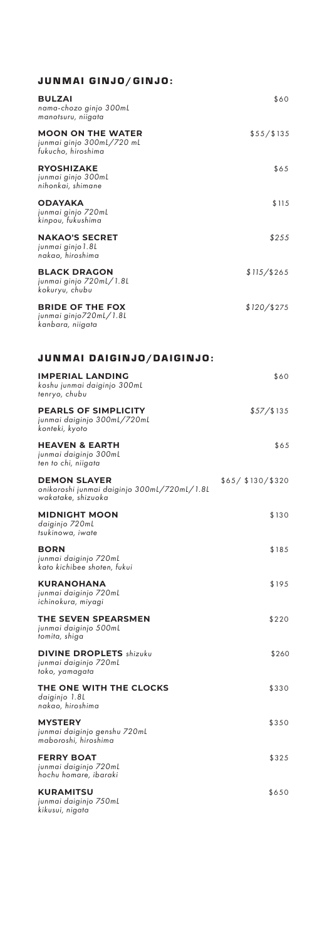| <b>JUNMAI GINJO/GINJO:</b>                                                               |                    |
|------------------------------------------------------------------------------------------|--------------------|
| <b>BULZAI</b><br>nama-chozo ginjo 300ml<br>manotsuru, niigata                            | \$60               |
| <b>MOON ON THE WATER</b><br>junmai ginjo 300mL/720 mL<br>fukucho, hiroshima              | \$55/\$135         |
| <b>RYOSHIZAKE</b><br>junmai ginjo 300mL<br>nihonkai, shimane                             | \$65               |
| <b>ODAYAKA</b><br>junmai ginjo 720ml<br>kinpou, fukushima                                | \$115              |
| <b>NAKAO'S SECRET</b><br>junmai ginjo 1.8L<br>nakao, hiroshima                           | \$255              |
| <b>BLACK DRAGON</b><br>junmai ginjo 720ml/1.8L<br>kokuryu, chubu                         | $$115$ /\$265      |
| <b>BRIDE OF THE FOX</b><br>junmai ginjo720mL/1.8L<br>kanbara, niigata                    | $$120$ /\$275      |
| JUNMAI DAIGINJO/DAIGINJO:                                                                |                    |
| <b>IMPERIAL LANDING</b><br>koshu junmai daiginjo 300mL<br>tenryo, chubu                  | \$60               |
| <b>PEARLS OF SIMPLICITY</b><br>junmai daiginjo 300mL/720mL<br>konteki, kyoto             | \$57/\$135         |
| <b>HEAVEN &amp; EARTH</b><br>junmai daiginjo 300mL<br>ten to chi, niigata                | \$65               |
| <b>DEMON SLAYER</b><br>onikoroshi junmai daiginjo 300mL/720mL/1.8L<br>wakatake, shizuoka | \$65/ \$130/ \$320 |
| <b>MIDNIGHT MOON</b><br>daiginjo 720mL<br>tsukinowa, iwate                               | \$130              |
| <b>BORN</b><br>junmai daiginjo 720mL<br>kato kichibee shoten, fukui                      | \$185              |
| <b>KURANOHANA</b><br>junmai daiginjo 720mL<br>ichinokura, miyagi                         | \$195              |
| THE SEVEN SPEARSMEN<br>junmai daiginjo 500mL<br>tomita, shiga                            | \$220              |
| <b>DIVINE DROPLETS</b> shizuku<br>junmai daiginjo 720mL<br>toko, yamagata                | \$260              |
| THE ONE WITH THE CLOCKS<br>daiginjo 1.8L<br>nakao, hiroshima                             | \$330              |
| <b>MYSTERY</b><br>junmai daiginjo genshu 720mL<br>maboroshi, hiroshima                   | \$350              |
| <b>FERRY BOAT</b><br>junmai daiginjo 720mL<br>hochu homare, ibaraki                      | \$325              |
| <b>KURAMITSU</b><br>junmai daiginjo 750mL<br>kikusui, nigata                             | \$650              |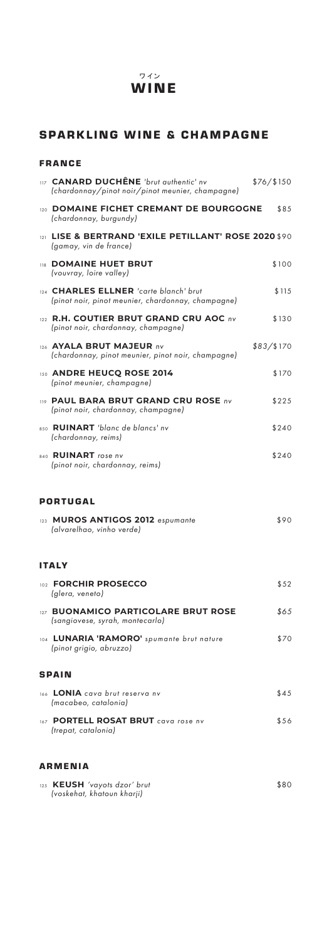#### **WINE** ワイン

## SPARKLING WINE & CHAMPAGNE

#### FRANCE

| 117 CANARD DUCHÊNE 'brut authentic' nv<br>(chardonnay/pinot noir/pinot meunier, champagne)   | \$76/\$150 |
|----------------------------------------------------------------------------------------------|------------|
| 120 DOMAINE FICHET CREMANT DE BOURGOGNE<br>(chardonnay, burgundy)                            | \$85       |
| LISE & BERTRAND 'EXILE PETILLANT' ROSE 2020 \$90<br>121<br>(gamay, vin de france)            |            |
| 118 DOMAINE HUET BRUT<br>(vouvray, loire valley)                                             | \$100      |
| 124 CHARLES ELLNER 'carte blanch' brut<br>(pinot noir, pinot meunier, chardonnay, champagne) | \$115      |
| 122 R.H. COUTIER BRUT GRAND CRU AOC nv<br>(pinot noir, chardonnay, champagne)                | \$130      |
| 126 AYALA BRUT MAJEUR nv<br>(chardonnay, pinot meunier, pinot noir, champagne)               | \$83/\$170 |
| 150 ANDRE HEUCQ ROSE 2014<br>(pinot meunier, champagne)                                      | \$170      |
| 119 PAUL BARA BRUT GRAND CRU ROSE nv<br>(pinot noir, chardonnay, champagne)                  | \$225      |
| 850 RUINART 'blanc de blancs' nv<br>(chardonnay, reims)                                      | \$240      |
| 840 <b>RUINART</b> rose nv<br>(pinot noir, chardonnay, reims)                                | \$240      |
|                                                                                              |            |
| <b>PORTUGAL</b>                                                                              |            |
| 123 MUROS ANTIGOS 2012 espumante<br>(alvarelhao, vinho verde)                                | \$90       |
| <b>ITALY</b>                                                                                 |            |
| <b>ORCHIR PROSECCO</b><br>102 $F$<br>(glera, veneto)                                         | \$52       |
| 127 BUONAMICO PARTICOLARE BRUT ROSE<br>(sangiovese, syrah, montecarlo)                       | \$65       |
| 104 LUNARIA 'RAMORO' spumante brut nature<br>(pinot grigio, abruzzo)                         | \$70       |
| <b>SPAIN</b>                                                                                 |            |
| 166 <b>LONIA</b> cava brut reserva nv<br>(macabeo, catalonia)                                | \$45       |
| 167 PORTELL ROSAT BRUT cava rose nv<br>(trepat, catalonia)                                   | \$56       |
| <b>ARMENIA</b>                                                                               |            |

#### 125 **KEUSH** *'vayots dzor' brut* \$80  *(voskehat, khatoun kharji)*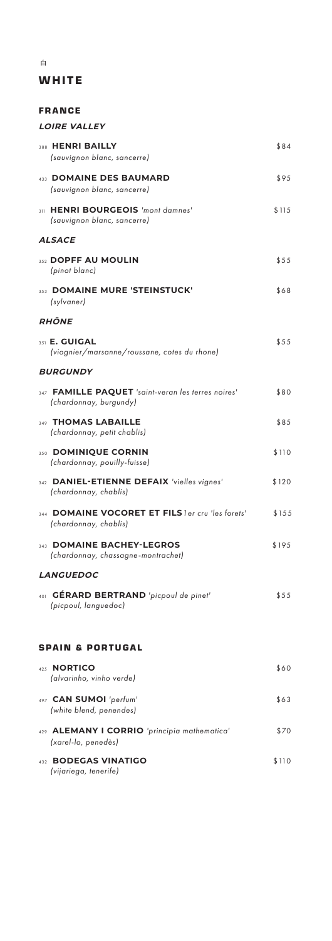# **WHITE**

| <b>FRANCE</b>                                                                |       |
|------------------------------------------------------------------------------|-------|
| <b>LOIRE VALLEY</b>                                                          |       |
| 388 HENRI BAILLY<br>(sauvignon blanc, sancerre)                              | \$84  |
| 433 DOMAINE DES BAUMARD<br>(sauvignon blanc, sancerre)                       | \$95  |
| 311 HENRI BOURGEOIS 'mont damnes'<br>(sauvignon blanc, sancerre)             | \$115 |
| <b>ALSACE</b>                                                                |       |
| 352 DOPFF AU MOULIN<br>(pinot blanc)                                         | \$55  |
| 353 DOMAINE MURE 'STEINSTUCK'<br>(sylvaner)                                  | \$68  |
| <b>RHÔNE</b>                                                                 |       |
| 351 <b>E. GUIGAL</b><br>(viognier/marsanne/roussane, cotes du rhone)         | \$55  |
| <b>BURGUNDY</b>                                                              |       |
| 347 FAMILLE PAQUET 'saint-veran les terres noires'<br>(chardonnay, burgundy) | \$80  |
| 349 THOMAS LABAILLE<br>(chardonnay, petit chablis)                           | \$85  |
| 350 DOMINIQUE CORNIN<br>(chardonnay, pouilly-fuisse)                         | \$110 |
| 342 DANIEL-ETIENNE DEFAIX 'vielles vignes'<br>(chardonnay, chablis)          | \$120 |
| <b>DOMAINE VOCORET ET FILS ler cru 'les forets'</b><br>(chardonnay, chablis) | \$155 |
| <b>DOMAINE BACHEY-LEGROS</b><br>343<br>(chardonnay, chassagne-montrachet)    | \$195 |
| <b>LANGUEDOC</b>                                                             |       |
| 401 GÉRARD BERTRAND 'picpoul de pinet'<br>(picpoul, languedoc)               | \$55  |
| <b>SPAIN &amp; PORTUGAL</b>                                                  |       |
| 425 NORTICO<br>(alvarinho, vinho verde)                                      | \$60  |
| 497 CAN SUMOI 'perfum'<br>(white blend, penendes)                            | \$63  |
| 429 ALEMANY I CORRIO 'principia mathematica'<br>(xarel-lo, penedès)          | \$70  |
| <b>BODEGAS VINATIGO</b><br>432                                               | \$110 |

 *(vijariega, tenerife)*

白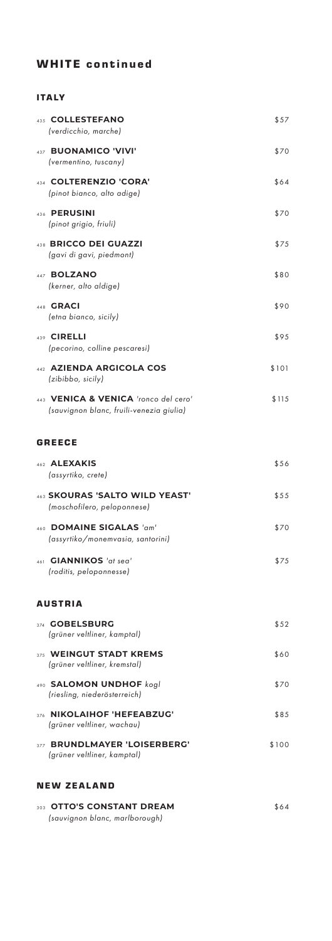# WHITE continued

#### ITALY

|     | 435 COLLESTEFANO<br>(verdicchio, marche)                                         | \$57  |
|-----|----------------------------------------------------------------------------------|-------|
| 437 | <b>BUONAMICO 'VIVI'</b><br>(vermentino, tuscany)                                 | \$70  |
|     | 434 COLTERENZIO 'CORA'<br>(pinot bianco, alto adige)                             | \$64  |
| 436 | <b>PERUSINI</b><br>(pinot grigio, friuli)                                        | \$70  |
|     | 438 BRICCO DEI GUAZZI<br>(gavi di gavi, piedmont)                                | \$75  |
|     | 447 BOLZANO<br>(kerner, alto aldige)                                             | \$80  |
|     | 448 <b>GRACI</b><br>(etna bianco, sicily)                                        | \$90  |
|     | 439 CIRELLI<br>(pecorino, colline pescaresi)                                     | \$95  |
|     | 442 AZIENDA ARGICOLA COS<br>(zibibbo, sicily)                                    | \$101 |
|     | 443 VENICA & VENICA 'ronco del cero'<br>(sauvignon blanc, fruili-venezia giulia) | \$115 |
|     | <b>GREECE</b>                                                                    |       |
|     | 462 ALEXAKIS<br>(assyrtiko, crete)                                               | \$56  |
|     | 463 SKOURAS 'SALTO WILD YEAST'<br>(moschofilero, peloponnese)                    | \$55  |
|     | 460 DOMAINE SIGALAS 'am'<br>(assyrtiko/monemvasia, santorini)                    | \$70  |
|     | 461 <b>GIANNIKOS</b> 'at sea'<br>(roditis, peloponnesse)                         | \$75  |
|     | AUSTRIA                                                                          |       |
|     | 374 GOBELSBURG<br>(grüner veltliner, kamptal)                                    | \$52  |
|     | 375 WEINGUT STADT KREMS<br>(grüner veltliner, kremstal)                          | \$60  |
|     | 490 SALOMON UNDHOF kogl<br>(riesling, niederösterreich)                          | \$70  |
|     | 376 NIKOLAIHOF 'HEFEABZUG'<br>(grüner veltliner, wachau)                         | \$85  |
| 377 | <b>BRUNDLMAYER 'LOISERBERG'</b><br>(grüner veltliner, kamptal)                   | \$100 |
|     | <b>NEW ZEALAND</b>                                                               |       |

| 303 OTTO'S CONSTANT DREAM      | \$64 |
|--------------------------------|------|
| (sauvignon blanc, marlborough) |      |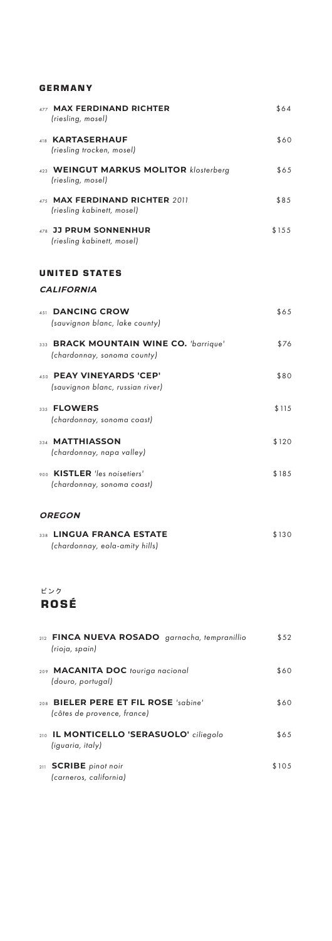#### GERMANY

| 477 MAX FERDINAND RICHTER<br>(riesling, mosel)                        | \$64  |
|-----------------------------------------------------------------------|-------|
| 418 KARTASERHAUF<br>(riesling trocken, mosel)                         | \$60  |
| 423 WEINGUT MARKUS MOLITOR klosterberg<br>(riesling, mosel)           | \$65  |
| 475 MAX FERDINAND RICHTER 2011<br>(riesling kabinett, mosel)          | \$85  |
| 478 JJ PRUM SONNENHUR<br>(riesling kabinett, mosel)                   | \$155 |
| UNITED STATES                                                         |       |
| <b>CALIFORNIA</b>                                                     |       |
| <b>DANCING CROW</b><br>451<br>(sauvignon blanc, lake county)          | \$65  |
| 333 BRACK MOUNTAIN WINE CO. 'barrique'<br>(chardonnay, sonoma county) | \$76  |
| 450 PEAY VINEYARDS 'CEP'<br>(sauvignon blanc, russian river)          | \$80  |
| 335 FLOWERS<br>(chardonnay, sonoma coast)                             | \$115 |
| 334 MATTHIASSON<br>(chardonnay, napa valley)                          | \$120 |
| 900 KISTLER 'les noisetiers'<br>(chardonnay, sonoma coast)            | \$185 |
| <b>OREGON</b>                                                         |       |

| 338 LINGUA FRANCA ESTATE       | \$130 |
|--------------------------------|-------|
| (chardonnay, eola-amity hills) |       |

ピンク

# ROSÉ

| 212 FINCA NUEVA ROSADO garnacha, tempranillio<br>(rioja, spain)     | \$52  |
|---------------------------------------------------------------------|-------|
| 209 MACANITA DOC touriga nacional<br>(douro, portugal)              | \$60  |
| 208 BIELER PERE ET FIL ROSE 'sabine'<br>(côtes de provence, france) | \$60  |
| 210 <b>IL MONTICELLO 'SERASUOLO'</b> ciliegolo<br>(iguaria, italy)  | \$65  |
| 211 <b>SCRIBE</b> pinot noir<br>(carneros, california)              | \$105 |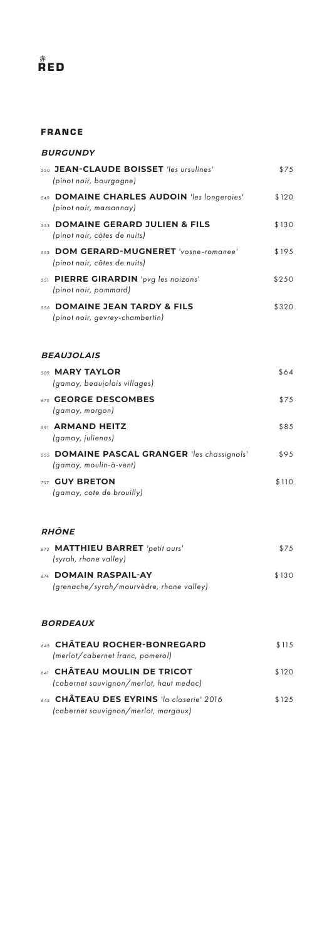# 赤 RED

#### FRANCE

#### **BURGUNDY**

|     | 550 JEAN-CLAUDE BOISSET 'les ursulines'<br>(pinot noir, bourgogne)     | \$75  |
|-----|------------------------------------------------------------------------|-------|
|     | 549 DOMAINE CHARLES AUDOIN 'les longeroies'<br>(pinot noir, marsannay) | \$120 |
|     | 553 DOMAINE GERARD JULIEN & FILS<br>(pinot noir, côtes de nuits)       | \$130 |
| 552 | DOM GERARD-MUGNERET 'vosne-romanee'<br>(pinot noir, côtes de nuits)    | \$195 |
|     | 551 PIERRE GIRARDIN 'pvg les noizons'<br>(pinot noir, pommard)         | \$250 |
|     | 556 DOMAINE JEAN TARDY & FILS<br>(pinot noir, gevrey-chambertin)       | \$320 |
|     | <b>BEAUJOLAIS</b>                                                      |       |
|     | 589 MARY TAYLOR<br>(gamay, beaujolais villages)                        | \$64  |
|     | 670 GEORGE DESCOMBES<br>(gamay, morgon)                                | \$75  |
|     | 591 ARMAND HEITZ<br>(gamay, julienas)                                  | \$85  |
|     | 555 DOMAINE PASCAL GRANGER 'les chassignols'<br>(gamay, moulin-à-vent) | \$95  |
|     | 757 GUY BRETON<br>(gamay, cote de brouilly)                            | \$110 |
|     | <b>RHÔNE</b>                                                           |       |
|     | 673 MATTHIEU BARRET 'petit ours'<br>(syrah, rhone valley)              | \$75  |
|     | 674 DOMAIN RASPAIL-AY<br>(grenache/syrah/mourvèdre, rhone valley)      | \$130 |

#### **BORDEAUX**

| 648 CHATEAU ROCHER-BONREGARD<br>(merlot/cabernet franc, pomerol)                  | \$115 |
|-----------------------------------------------------------------------------------|-------|
|                                                                                   |       |
| 641 CHÂTEAU MOULIN DE TRICOT<br>(cabernet sauvignon/merlot, haut medoc)           | \$120 |
|                                                                                   |       |
| 645 CHÂTEAU DES EYRINS 'la closerie' 2016<br>(cabernet sauvignon/merlot, margaux) | \$125 |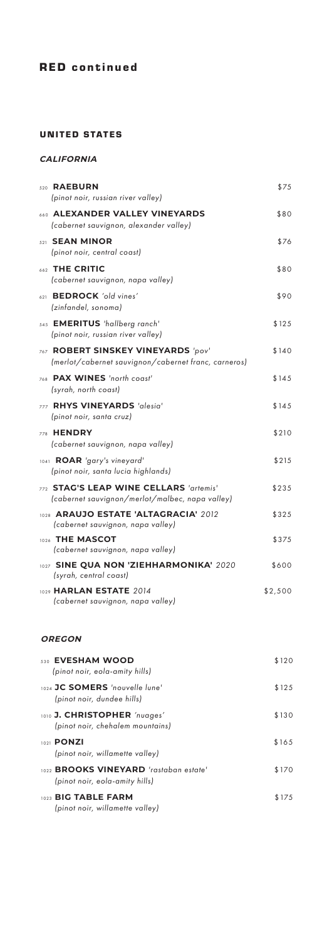## UNITED STATES

## **CALIFORNIA**

| 520 RAEBURN<br>(pinot noir, russian river valley)                                          | \$75    |
|--------------------------------------------------------------------------------------------|---------|
| 660 ALEXANDER VALLEY VINEYARDS<br>(cabernet sauvignon, alexander valley)                   | \$80    |
| 521 SEAN MINOR<br>(pinot noir, central coast)                                              | \$76    |
| 662 THE CRITIC<br>(cabernet sauvignon, napa valley)                                        | \$80    |
| 621 BEDROCK 'old vines'<br>(zinfandel, sonoma)                                             | \$90    |
| 545 <b>EMERITUS</b> 'hallberg ranch'<br>(pinot noir, russian river valley)                 | \$125   |
| 767 ROBERT SINSKEY VINEYARDS 'pov'<br>(merlot/cabernet sauvignon/cabernet franc, carneros) | \$140   |
| 768 PAX WINES 'north coast'<br>(syrah, north coast)                                        | \$145   |
| 777 RHYS VINEYARDS 'alesia'<br>(pinot noir, santa cruz)                                    | \$145   |
| 778 <b>HENDRY</b><br>(cabernet sauvignon, napa valley)                                     | \$210   |
| 1041 ROAR 'gary's vineyard'<br>(pinot noir, santa lucia highlands)                         | \$215   |
| 772 STAG'S LEAP WINE CELLARS 'artemis'<br>(cabernet sauvignon/merlot/malbec, napa valley)  | \$235   |
| 1028 ARAUJO ESTATE 'ALTAGRACIA' 2012<br>(cabernet sauvignon, napa valley)                  | \$325   |
| 1026 THE MASCOT<br>(cabernet sauvignon, napa valley)                                       | \$375   |
| 1027 SINE QUA NON 'ZIEHHARMONIKA' 2020<br>(syrah, central coast)                           | \$600   |
| 1029 <b>HARLAN ESTATE</b> 2014<br>(cabernet sauvignon, napa valley)                        | \$2,500 |

#### **OREGON**

| 530 EVESHAM WOOD<br>(pinot noir, eola-amity hills)                              | \$120 |
|---------------------------------------------------------------------------------|-------|
| 1024 JC SOMERS 'nouvelle lune'<br>(pinot noir, dundee hills)                    | \$125 |
| 1010 J. CHRISTOPHER 'nuages'<br>(pinot noir, chehalem mountains)                | \$130 |
| 1021 <b>PONZI</b><br>(pinot noir, willamette valley)                            | \$165 |
| 1022 <b>BROOKS VINEYARD</b> 'rastaban estate'<br>(pinot noir, eola-amity hills) | \$170 |
| 1023 BIG TABLE FARM<br>(pinot noir, willamette valley)                          | \$175 |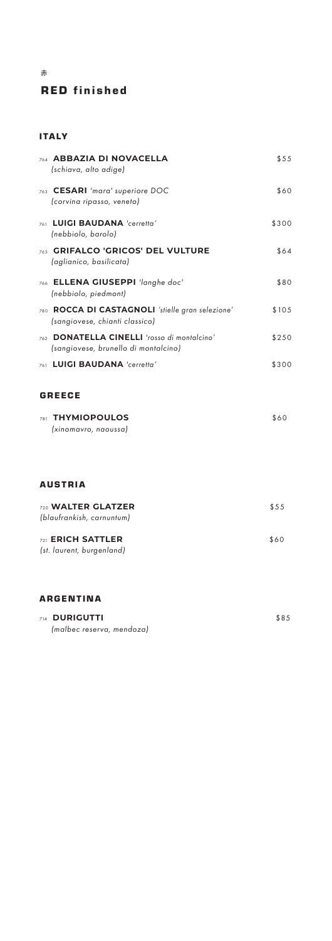# RED finished

#### ITALY

赤

| 764 ABBAZIA DI NOVACELLA<br>(schiava, alto adige)                                   | \$55  |
|-------------------------------------------------------------------------------------|-------|
| 763 CESARI 'mara' superiore DOC<br>(corvina ripasso, veneto)                        | \$60  |
| LUIGI BAUDANA 'cerretta'<br>761<br>(nebbiolo, barolo)                               | \$300 |
| 765 GRIFALCO 'GRICOS' DEL VULTURE<br>(aglianico, basilicata)                        | \$64  |
| 766 ELLENA GIUSEPPI 'langhe doc'<br>(nebbiolo, piedmont)                            | \$80  |
| 780 ROCCA DI CASTAGNOLI 'stielle gran selezione'<br>(sangiovese, chianti classico)  | \$105 |
| 762 DONATELLA CINELLI 'rosso di montalcino'<br>(sangiovese, brunello di montalcino) | \$250 |
| 761 LUIGI BAUDANA 'cerretta'                                                        | \$300 |
| <b>GREECE</b>                                                                       |       |
| 781 THYMIOPOULOS<br>(xinomavro, naoussa)                                            | \$60  |
| <b>AUSTRIA</b>                                                                      |       |
| 720 WALTER GLATZER<br>(blaufrankish, carnuntum)                                     | \$55  |
| 721 ERICH SATTLER<br>(st. laurent, burgenland)                                      | \$60  |
| <b>ARGENTINA</b>                                                                    |       |
| <b>DURIGUTTI</b><br>714                                                             | \$85  |

 *(malbec reserva, mendoza)*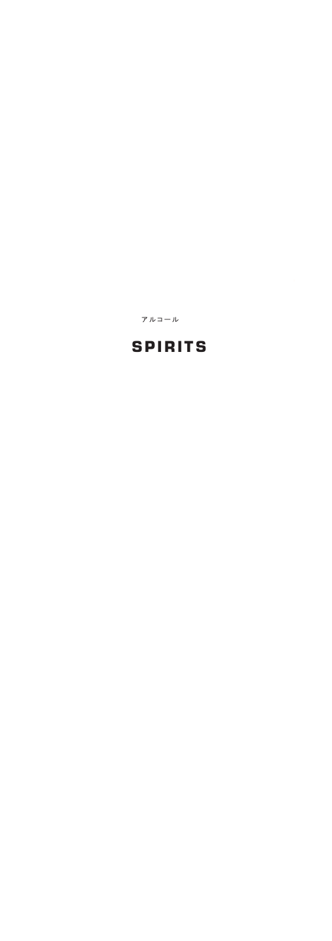アルコール

# SPIRITS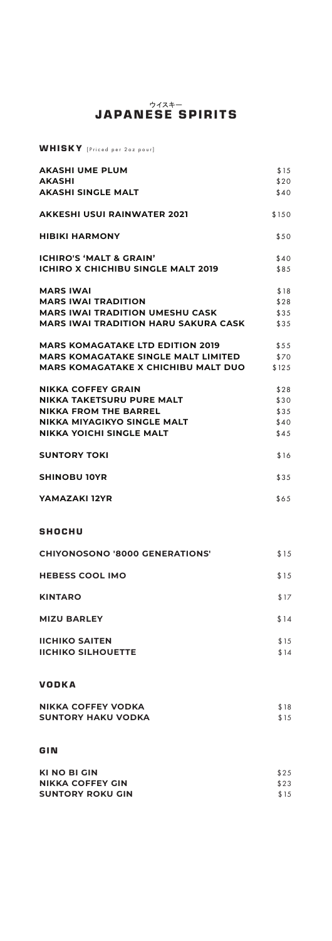# ウイスキー JAPANESE SPIRITS

WHISKY [Priced per 2oz pour]

| <b>AKASHI UME PLUM</b>                      | \$15  |
|---------------------------------------------|-------|
| <b>AKASHI</b>                               | \$20  |
| <b>AKASHI SINGLE MALT</b>                   | \$40  |
| AKKESHI USUI RAINWATER 2021                 | \$150 |
| <b>HIBIKI HARMONY</b>                       | \$50  |
| <b>ICHIRO'S 'MALT &amp; GRAIN'</b>          | \$40  |
| <b>ICHIRO X CHICHIBU SINGLE MALT 2019</b>   | \$85  |
| <b>MARS IWAI</b>                            | \$18  |
| <b>MARS IWAI TRADITION</b>                  | \$28  |
| <b>MARS IWAI TRADITION UMESHU CASK</b>      | \$35  |
| <b>MARS IWAI TRADITION HARU SAKURA CASK</b> | \$35  |
| <b>MARS KOMAGATAKE LTD EDITION 2019</b>     | \$55  |
| <b>MARS KOMAGATAKE SINGLE MALT LIMITED</b>  | \$70  |
| <b>MARS KOMAGATAKE X CHICHIBU MALT DUO</b>  | \$125 |
| <b>NIKKA COFFEY GRAIN</b>                   | \$28  |
| NIKKA TAKETSURU PURE MALT                   | \$30  |
| <b>NIKKA FROM THE BARREL</b>                | \$35  |
| NIKKA MIYAGIKYO SINGLE MALT                 | \$40  |
| <b>NIKKA YOICHI SINGLE MALT</b>             | \$45  |
| <b>SUNTORY TOKI</b>                         | \$16  |
| <b>SHINOBU 10YR</b>                         | \$35  |
| YAMAZAKI 12YR                               | \$65  |
| <b>SHOCHU</b>                               |       |
| <b>CHIYONOSONO '8000 GENERATIONS'</b>       | \$15  |
| <b>HEBESS COOL IMO</b>                      | \$15  |
| <b>KINTARO</b>                              | \$17  |
| <b>MIZU BARLEY</b>                          | \$14  |
| <b>IICHIKO SAITEN</b>                       | \$15  |
| <b>IICHIKO SILHOUETTE</b>                   | \$14  |
| <b>VODKA</b>                                |       |
| <b>NIKKA COFFEY VODKA</b>                   | \$18  |
| <b>SUNTORY HAKU VODKA</b>                   | \$15  |
| GIN                                         |       |
| <b>KI NO BI GIN</b>                         | \$25  |
| NIKKA COEEEV CIN                            | 622   |

| <b>NIKKA COFFEY GIN</b> | \$23 |
|-------------------------|------|
| <b>SUNTORY ROKU GIN</b> | \$15 |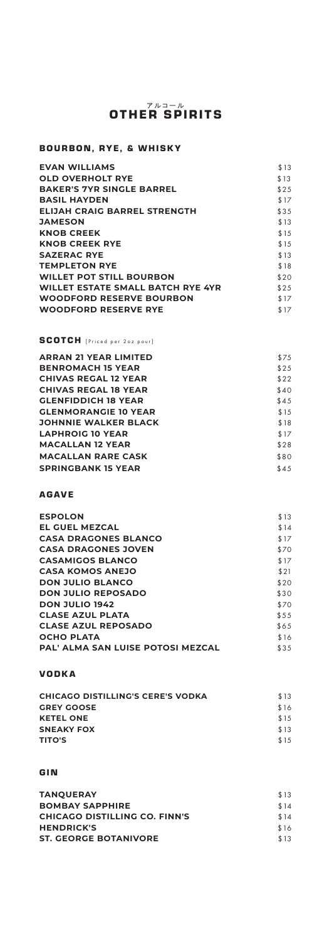# アルコール OTHER SPIRITS

# BOURBON, RYE, & WHISKY

| \$13 |
|------|
| \$13 |
| \$25 |
| \$17 |
| \$35 |
| \$13 |
| \$15 |
| \$15 |
| \$13 |
| \$18 |
| \$20 |
| \$25 |
| \$17 |
| \$17 |
|      |

# SCOTCH [Priced per 2oz pour]

| <b>ARRAN 21 YEAR LIMITED</b> | \$75 |
|------------------------------|------|
| <b>BENROMACH 15 YEAR</b>     | \$25 |
| <b>CHIVAS REGAL 12 YEAR</b>  | \$22 |
| <b>CHIVAS REGAL 18 YEAR</b>  | \$40 |
| <b>GLENFIDDICH 18 YEAR</b>   | \$45 |
| <b>GLENMORANGIE 10 YEAR</b>  | \$15 |
| <b>JOHNNIE WALKER BLACK</b>  | \$18 |
| <b>LAPHROIG 10 YEAR</b>      | \$17 |
| <b>MACALLAN 12 YEAR</b>      | \$28 |
| <b>MACALLAN RARE CASK</b>    | \$80 |
| <b>SPRINGBANK 15 YEAR</b>    | \$45 |
|                              |      |

#### AGAVE

| <b>ESPOLON</b>                    | \$13 |
|-----------------------------------|------|
| <b>EL GUEL MEZCAL</b>             | \$14 |
| <b>CASA DRAGONES BLANCO</b>       | \$17 |
| <b>CASA DRAGONES JOVEN</b>        | \$70 |
| <b>CASAMIGOS BLANCO</b>           | \$17 |
| <b>CASA KOMOS ANEJO</b>           | \$21 |
| <b>DON JULIO BLANCO</b>           | \$20 |
| <b>DON JULIO REPOSADO</b>         | \$30 |
| <b>DON JULIO 1942</b>             | \$70 |
| <b>CLASE AZUL PLATA</b>           | \$55 |
| <b>CLASE AZUL REPOSADO</b>        | \$65 |
| <b>OCHO PLATA</b>                 | \$16 |
| PAL' ALMA SAN LUISE POTOSI MEZCAL | \$35 |
|                                   |      |

#### VODKA

| <b>CHICAGO DISTILLING'S CERE'S VODKA</b> | \$13 |
|------------------------------------------|------|
| <b>GREY GOOSE</b>                        | \$16 |
| <b>KETEL ONE</b>                         | \$15 |
| <b>SNEAKY FOX</b>                        | \$13 |
| <b>TITO'S</b>                            | \$15 |
|                                          |      |

#### GIN

| <b>TANOUERAY</b>                     | \$13 |
|--------------------------------------|------|
| <b>BOMBAY SAPPHIRE</b>               | \$14 |
| <b>CHICAGO DISTILLING CO. FINN'S</b> | \$14 |
| <b>HENDRICK'S</b>                    | \$16 |
| <b>ST. GEORGE BOTANIVORE</b>         | \$13 |
|                                      |      |